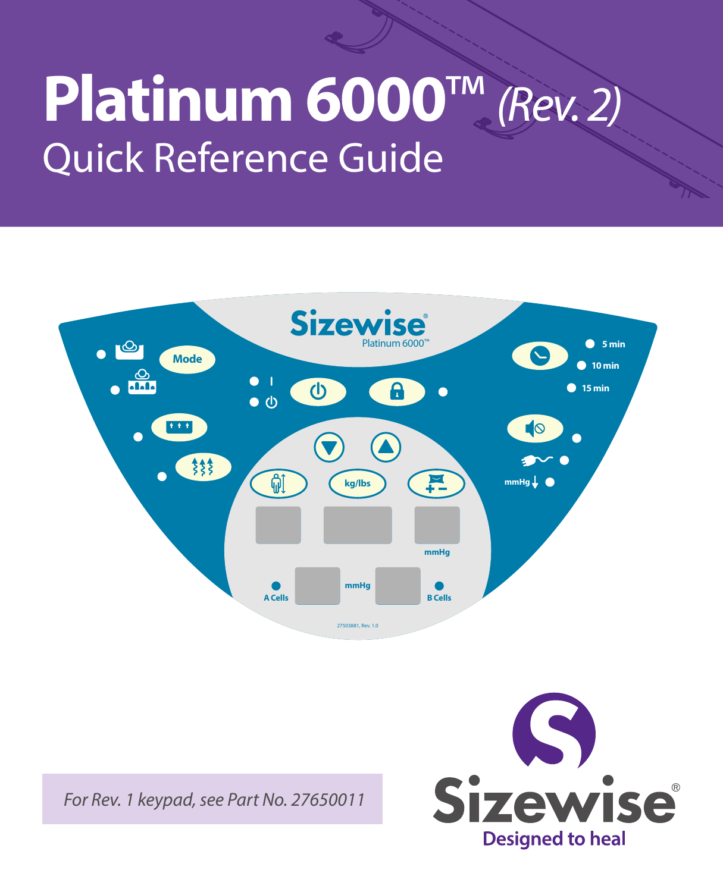# **Platinum 6000**™ *(Rev. 2)* Quick Reference Guide For Photo Cardia



*For Rev. 1 keypad, see Part No. 27650011*

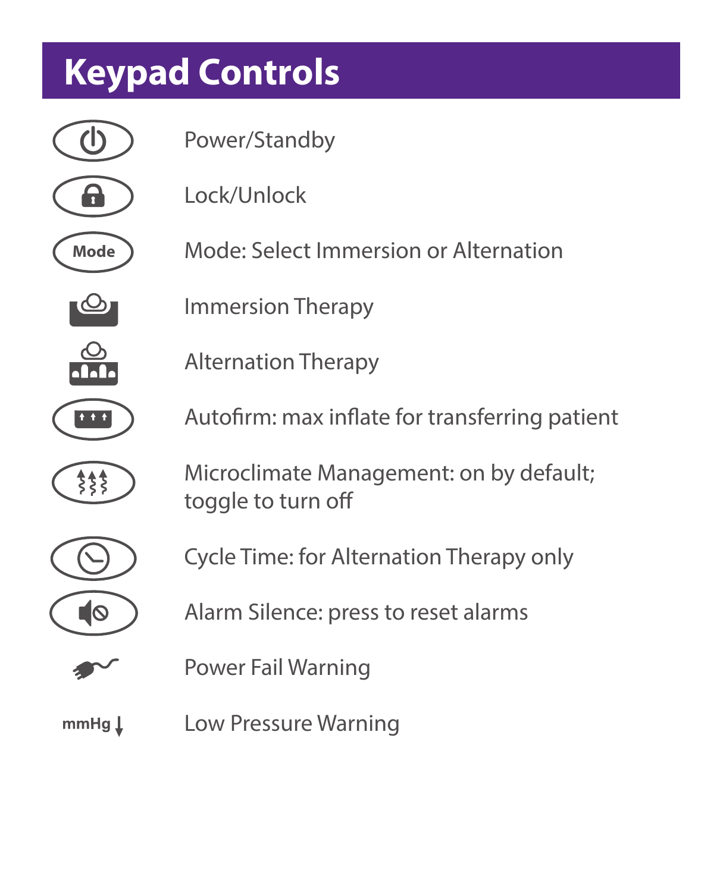### **Keypad Controls**



Low Pressure Warning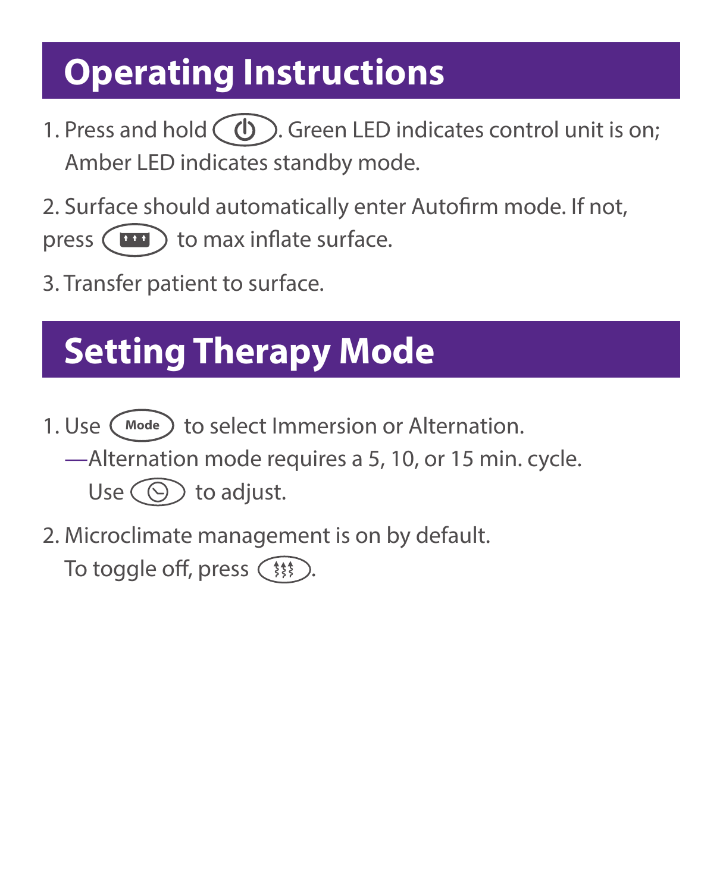#### **Operating Instructions**

- 1. Press and hold  $\left(\bigcup_{n=1}^{\infty}\right)$ . Green LED indicates control unit is on; Amber LED indicates standby mode.
- 2. Surface should automatically enter Autofirm mode. If not,
- press  $(\Box \Box)$  to max inflate surface.
- 3. Transfer patient to surface.

## **Setting Therapy Mode**

- 1. Use  $\left(\begin{smallmatrix} \text{Mode} \\ \text{Mode} \end{smallmatrix}\right)$  to select Immersion or Alternation. —Alternation mode requires a 5, 10, or 15 min. cycle. Use  $\circledcirc$  to adjust.
- 2. Microclimate management is on by default. To toggle off, press  $(*)$ .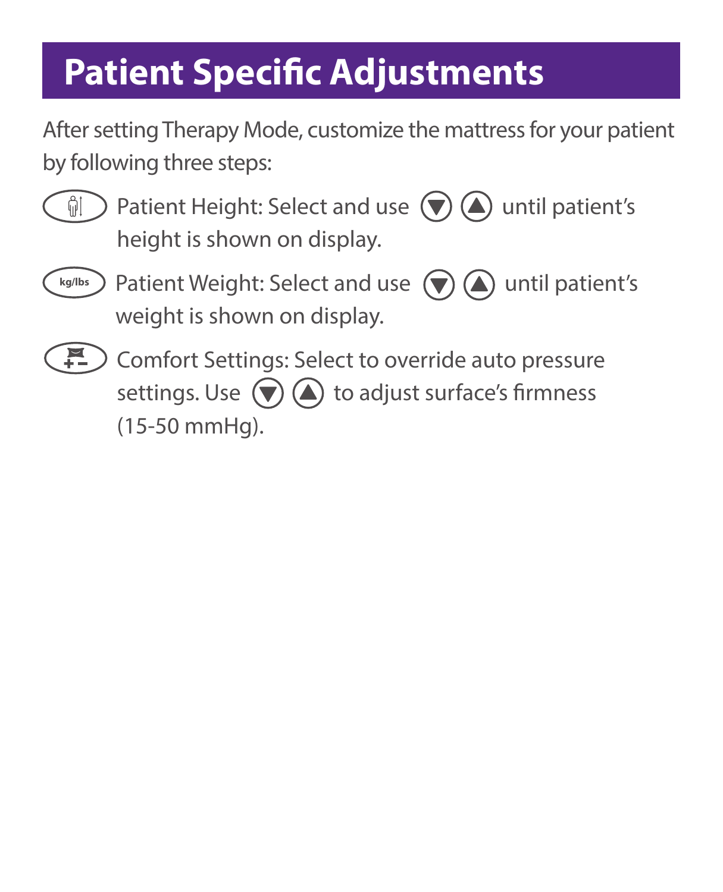### **Patient Specific Adjustments**

After setting Therapy Mode, customize the mattress for your patient by following three steps:



- Patient Height: Select and use  $(\nabla)$   $(\triangle)$  until patient's height is shown on display.
- Patient Weight: Select and use  $\left(\bigtriangledown\right)\left(\bigtriangleup\right)$  until patient's weight is shown on display. **kg/lbs**
- $\left( \begin{matrix} 2 \\ 1 \end{matrix} \right)$ Comfort Settings: Select to override auto pressure settings. Use  $(\widehat{\blacktriangledown})$  ( $\widehat{\blacktriangle}$ ) to adjust surface's firmness (15-50 mmHg).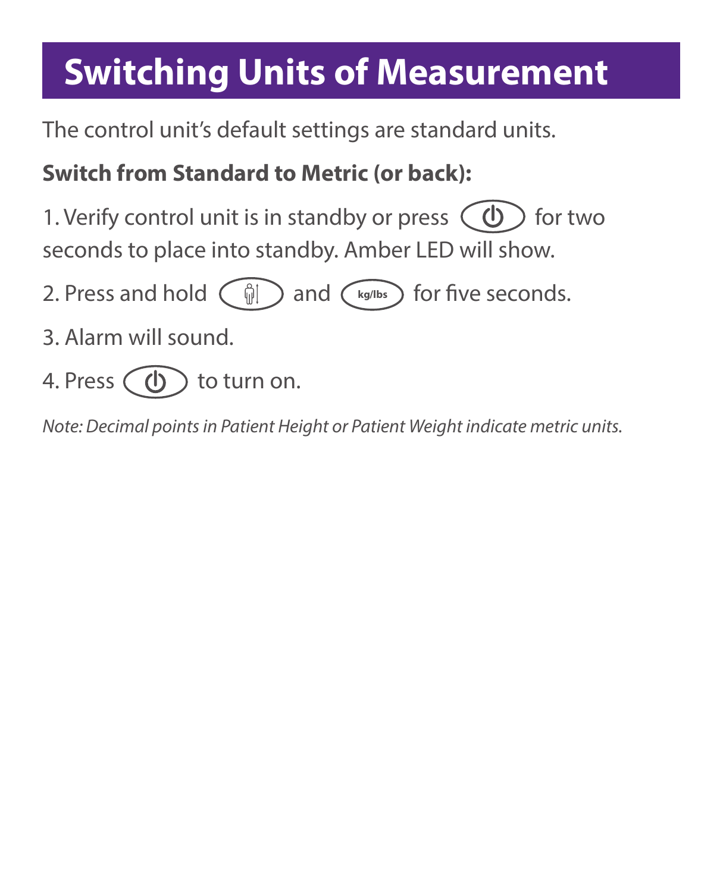#### **Switching Units of Measurement**

The control unit's default settings are standard units.

#### **Switch from Standard to Metric (or back):**

1. Verify control unit is in standby or press  $\left(\begin{array}{c}\Phi\end{array}\right)$  for two seconds to place into standby. Amber LED will show.

- 2. Press and hold  $\left(\begin{array}{c}\right\Vert\right)$  and  $\left(\begin{array}{c}\right\vert_{\mathsf{kg/Ibs}}\end{array}\right)$  for five seconds.
- 3. Alarm will sound.
- 4. Press  $\left(\begin{array}{c}\Phi\end{array}\right)$  to turn on.

*Note: Decimal points in Patient Height or Patient Weight indicate metric units.*